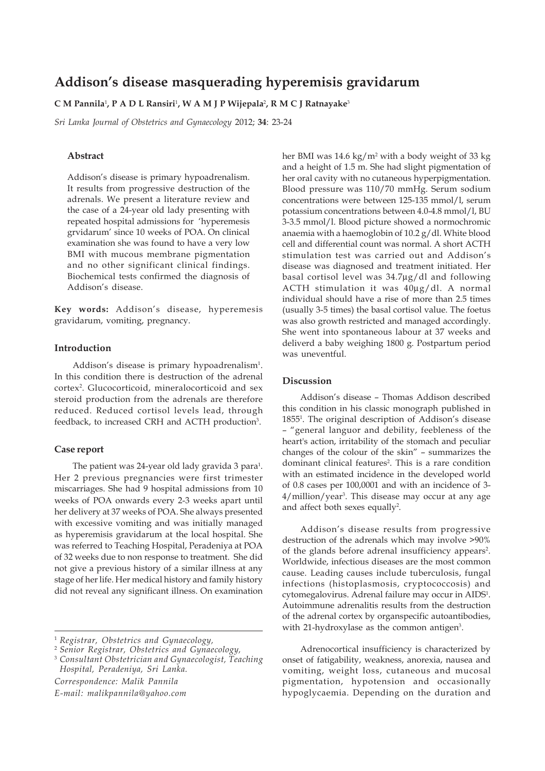# **Addison's disease masquerading hyperemisis gravidarum**

## **C M Pannila**<sup>1</sup> **, P A D L Ransiri**<sup>1</sup> **, W A M J P Wijepala**<sup>2</sup> **, R M C J Ratnayake**<sup>3</sup>

*Sri Lanka Journal of Obstetrics and Gynaecology* 2012; **34**: 23-24

# **Abstract**

Addison's disease is primary hypoadrenalism. It results from progressive destruction of the adrenals. We present a literature review and the case of a 24-year old lady presenting with repeated hospital admissions for 'hyperemesis grvidarum' since 10 weeks of POA. On clinical examination she was found to have a very low BMI with mucous membrane pigmentation and no other significant clinical findings. Biochemical tests confirmed the diagnosis of Addison's disease.

**Key words:** Addison's disease, hyperemesis gravidarum, vomiting, pregnancy.

#### **Introduction**

Addison's disease is primary hypoadrenalism<sup>1</sup>. In this condition there is destruction of the adrenal cortex2 . Glucocorticoid, mineralocorticoid and sex steroid production from the adrenals are therefore reduced. Reduced cortisol levels lead, through feedback, to increased CRH and ACTH production<sup>3</sup>.

#### **Case report**

The patient was 24-year old lady gravida 3 para<sup>1</sup>. Her 2 previous pregnancies were first trimester miscarriages. She had 9 hospital admissions from 10 weeks of POA onwards every 2-3 weeks apart until her delivery at 37 weeks of POA. She always presented with excessive vomiting and was initially managed as hyperemisis gravidarum at the local hospital. She was referred to Teaching Hospital, Peradeniya at POA of 32 weeks due to non response to treatment. She did not give a previous history of a similar illness at any stage of her life. Her medical history and family history did not reveal any significant illness. On examination

*Correspondence: Malik Pannila E-mail: malikpannila@yahoo.com*

her BMI was 14.6 kg/m<sup>2</sup> with a body weight of 33 kg and a height of 1.5 m. She had slight pigmentation of her oral cavity with no cutaneous hyperpigmentation. Blood pressure was 110/70 mmHg. Serum sodium concentrations were between 125-135 mmol/l, serum potassium concentrations between 4.0-4.8 mmol/l, BU 3-3.5 mmol/l. Blood picture showed a normochromic anaemia with a haemoglobin of 10.2 g/dl. White blood cell and differential count was normal. A short ACTH stimulation test was carried out and Addison's disease was diagnosed and treatment initiated. Her basal cortisol level was 34.7μg/dl and following ACTH stimulation it was 40μg/dl. A normal individual should have a rise of more than 2.5 times (usually 3-5 times) the basal cortisol value. The foetus was also growth restricted and managed accordingly. She went into spontaneous labour at 37 weeks and deliverd a baby weighing 1800 g. Postpartum period was uneventful.

## **Discussion**

Addison's disease – Thomas Addison described this condition in his classic monograph published in 18551 . The original description of Addison's disease – "general languor and debility, feebleness of the heart's action, irritability of the stomach and peculiar changes of the colour of the skin" – summarizes the dominant clinical features<sup>2</sup>. This is a rare condition with an estimated incidence in the developed world of 0.8 cases per 100,0001 and with an incidence of 3- 4/million/year3 . This disease may occur at any age and affect both sexes equally<sup>2</sup>.

Addison's disease results from progressive destruction of the adrenals which may involve >90% of the glands before adrenal insufficiency appears<sup>2</sup>. Worldwide, infectious diseases are the most common cause. Leading causes include tuberculosis, fungal infections (histoplasmosis, cryptococcosis) and cytomegalovirus. Adrenal failure may occur in AIDS<sup>1</sup>. Autoimmune adrenalitis results from the destruction of the adrenal cortex by organspecific autoantibodies, with 21-hydroxylase as the common antigen<sup>3</sup>.

Adrenocortical insufficiency is characterized by onset of fatigability, weakness, anorexia, nausea and vomiting, weight loss, cutaneous and mucosal pigmentation, hypotension and occasionally hypoglycaemia. Depending on the duration and

<sup>1</sup> *Registrar, Obstetrics and Gynaecology,*

<sup>2</sup> *Senior Registrar, Obstetrics and Gynaecology,*

<sup>3</sup> *Consultant Obstetrician and Gynaecologist, Teaching Hospital, Peradeniya, Sri Lanka.*